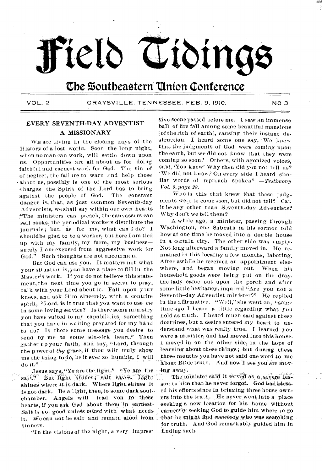# **teth ttbinge**

# **the Southeastern Union Conference**

**VOL. 2 GRAYSV1LLE, TENNESSEE. FEB. 9, 1910. NO 3** 

## **EVERY SEVENTH-DAY ADVENTIST A MISSIONARY**

**WE are living in the closing days of the History of a lost worla. Soon the long night, when no man can work, will settle down upon us. Opportunities are all about us for doing faithful and earnest work for God. The sin of of neglect, the failure to warn e nd help those about us, possibly is one of the most serious charges the Spirit of the Lord has to bring against the people of God. The constant danger is, that, as just common Seventh-day Adventists, we shall say within our own hearts "The ministers can preach, the canvassers can sell books, the periodical workers distribute the journals; but, as for me, what can I do? I shouldbe glad to be a worker, but here lam tied up with my family, my farm, my business surely I am excused from aggressive work for God." Such thoughts are not uncommon.** 

**But God can use you. It matters not what your situation is, you have a place to fill in the Master's work. If you do not believe this statement, the next time you go in secret to pray, talk.with your Lord about ic. Fall upon y)ur knees, and ask Him sincerely, with a contrite spirit, "Lord, is it true that you want to use me in some loving service? Is there some ministry you have suited to my capabilt.ies, something that you have in waiting prepared for my hand to do? Is there some message you desire to send by me to some sin-sick heart." Then gather up your faith, and say, "Lord, through**  the p wer of *thy* grace, if thou wilt truly show **me the thing to-do, be it ever so humble, I will do it."** 

Jesus says, "Ye are the light." "Ye are the salt." But light shines; salt saves. Light shines where it is dark. Where light shines it **is not dark. Be a light, then,to some dark soulchamber. Angels will lead you to these**  hearts, if you ask God about them in earnest. Salt is not good unless *mixed* with what needs **-tt.f We can not be salt and remain aloof from sinners.** 

**"In the visions of the night, a very impres-** 

**'sive scene passed before me. I saw an immense ball of fire fall among some beautiful mansions [of the rich of earth], causing their instant destruction. I heard some one say, 'We knew that the judgments of God were coming upon the earth, but we did not know that they were coming so soon' Others, with agonized voices, said, 'You knew' Why then did you not tell us? 'We did not know' On every side I heard similar words of reproach spoken"** *—Testimony Vol. 9,page 28.* 

**Who is this that knew that these judgments were to come** *soon,* **but did not tell? Can it be any other than Seventh-day Adventists? Why don't we tell them?** 

**A while ago, a Minister, passing through Washington, one Sabbath in his sermon told how at one time he moved into a double house in a certain city. The other side was empty. Not long afterward a family moved in. He remained in this locality a few months, laboring, After awhile he received an appointment elsewhere, anti began moving out. When his household goods were being put on the dray, the lady came out upon the porch and after some little hesitancy, inquired "Are you not a**  Seventh-day Adventist mirister?" He replied in the affirmative. "Well," she went on, "some **time ago I heard a little regarding what you hold as truth. I heard much said against these doctrines, but a desire entered my heart to understand what was really true. I learned you were a minister, and had moved into this house. I moved in on the other side, in the hope of learning about these-things; but during these three months you have not said one word to me about Bible truth. And nowI see You are mov- -411g away.** 

The minister said it served as a severe lesson to him that he never forgot. God had bless**ed his efforts since in bringing three house own**ers into the truth. He never went into a place **seeking a new location for his home without, earnestly seeking God to guide him where to go**  that he might find *somebody* who was searching **for truth. And God remarkably guided him in finding such.**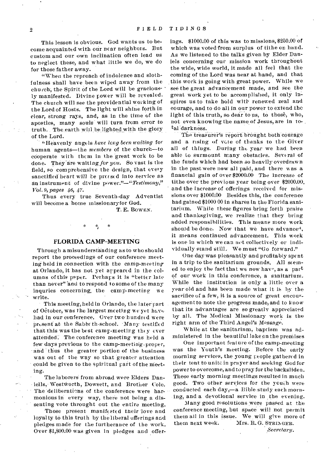This lesson is obvious. God wants us to become acquainted with our near neighbors. But custom and our own inclination often lead us to neglect these, and what little we do, We do for those father away.

"When the reproach of indolence and slothfulness shall have been wiped away from the church; the Spirit of the Lord will be graciously manifested. Divine power will be revealed. The church will see the providential working of the Lord of Hosts. The light will shine forth in clear, strong rays, and, as in the time of the apostles, many souls will turn from error to truth. The earth will be lighted with the glory of the Lord.

"Heavenly angels *have long been waiting* for human agents—the *members* of the church—to cooperate \_with them in the great work to be done. They are waiting for you. So vast is the field, so comprehensive the design, that every sanctified heart will be pressed into service as an instrumen 6 of divine *power."—"Testimony," Vol. 9, pages 46, 47.* 

Thus every true Seventh-day Adventist will become a home missionaryfor God.

T. E. BOWEN.

### FLORIDA CAMP-MEETING

Through a misunderstanding as to who should report the proceedings of our conference meeting held in connection with the camp-meeting at Orlando, it has not yet arpeared in the columns of this paper. Perhaps it is "better late than never" and to respond to some of the many inquries concerning, the camp-meeting we write.

• This meeting, held in Orlando, the later part of October, was the largest meeting we yet have had in our conference. Over two hundred were present at the Sabbr th-school. Many testified that this was the best camp-meeting they ever attended. The conference meeting was held a few days previous to the camp-meeting-proper, and thus the greater portion of the business was out of the way so that greater attention could be given to the spiritual part of the meeting.

The laborers from abroad were Elders Daniells, Westworth, Dowsett, and Brother Cole. The deliberations of the conference were harmonious in every way, there not being a dissenting vote throught out the entire meeting.

Those present manifested their love and loyalty to this truth by the liberal offerings and pledges made for the furtherance of the work. Over \$1,800.00 was given in pledges and offer-

ings. \$1000.00 of this was to missions, \$250.00 of which was voted-from surplus of tithe on hand. As we listened to the talks given by Elder Daniels concerning our mission work throughout the wide, wide world, it made all feel that the coming of the Lord was near at hand, and that this work is going with great power. While we see the great advancement made, and see the great work yet to be accomplished, it only inspires us to take hold with renewed zeal and courage, and to do all in our power to extend the light of this truth, so dear to us, to those, who, not even knowing the name of Jesus, are in total darkness..

The treasurer's report brought both courage and a rising of vote of thanks to the Giver all of things. During the year we had been able to surmount many obstacles. Several of the funds which had been so heavily overdrawn in the past were now all paid, and there was a financial gain of over \$2000.00 The increase of tithe over the previous year being over \$2000.00. and the increase of offerings received for missions over \$1000.00 Besides this, the conference had gained \$1000 00 in shares in the Florida sanitarium. While these figures bring forth praise and thanksgiving, we realize that they bring added responsibilities. This means more work should be done. Now that we have advanced, it *means* continued advancement. This work is one in which we can act collectively or individually stand still: We must "Go forward."

One day was pleasantly and profitably spent in a trip to the sanitarium grounds. All seemed to enjoy the fact that we now haw', as a part of our work in this conference, a sanitarium. While the institution is only a little over a year old and has been made what it is by the sacrifice of a few, it is a source of great encouragement to note the progress made, and to know that its advantages are so greatly appreciated by all. The Medical Missionary work is the right arm of the Third Angel's Message.

While at the sanitarinm, baptism was administered in the beautiful lake on the premises

One important feature of the camp-meeting was the Youth's meeting. Before the early morning services, the young people gathered in their tent to unite in prayer and seeking God for power to overcome, and to pray for the backsliden. These early morning meetings resulted in much good. Two other services for the youth were conducted each day,-a Bible study each morning, and a devotional service in the evening.

Many good resolutions were passed at the conference meeting, but space will not permit them all in this issue. We will give more of them next week. Mrs. R. G. STRINGER.

*Secretary.*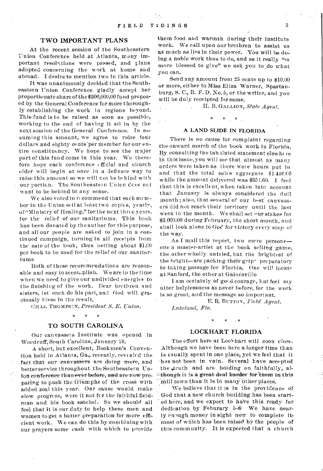### TWO IMPORTANT PLANS

At the recent session of the Southeastern 'Union Conference held at Atlanta, many important resolutions were passed, and plans adopted concerning the work at home and abroad. I desire to mention two in this article.

It was unanimously decided that the Southeastern Union Conference gladly accept her proportionate share of the \$300,000.00 fund proposed by the General Conference for more thoroughly establishing the work in regions beyond. This fund is to be raised as' soon as possible, working to the end of having it ail in by the next session of the General Conference. In assuming this amount; we agree to raise four dollars and eighty cents'per member for our entire constituency. We hope to see the major part of this fund come in this year. We therefore hope each conference efficial and church elder will begin at once in a definate way to raise this amount so we will not be behind with our portion. The Southeastern Union does not want to be behind in any sense.

We also voted to recommend that each member in the Union sell at least two copies, yearly, of "Ministry of Healing," for the next three years, for the relief of our sanitariums. This book has been donated by the author for this purpose, and all our people are asked to join in a continued campaign, 'turning in all receipts from the sale of the book, thus netting about \$1.00 per hook to be used for the relief of our sanitariums

Both of these recommendations are reasonable and easy to accom plish. We are in the time when we need to give our undivided energies to the finishing of the work. Dear brethren and sisters, let each do his part, and God will graciously bless in the result.

CHAS. THOMPSCN, *President S. F. Union. \* \* \** 

### TO SOUTH CAROLINA

Our canvassers Institute was opened in Woodruff, South Carolina, January 28.

A short, but excellent, Book men's Convention held in Atlanta, Ga., recently, revealed the fact that our canvassers are doing more, and better service throughout the Southeastern Union conference than ever before, and are now preparing to push the friumphs of the cross with added zeal this year. Our cause would make slow progress, were it not fcr the faithful fieldman and his book satchel. So we should all feel that it is our duty to help these men and women to get a better preparation for more efficient work. We can do this by combining with our prayers some cash with which to provide

them food and warmth during their institute work. We call upon our brethren to assist us as much as lies in their power. You will be doing a noble work thus to do, and as it really "is more blessed to give" we ask you to do what you can,

Send any amount from 25 cents up to \$10.00 or more, either to Miss Eliza Warner, Spartanburg, S. C., R. F. D. No. 5, or the writer, and you will be duly receipted for same.

H. B. GALLION, *State Agent.* 

 $*$   $*$ 

### A LAND SLIDE IN FLORIDA

\*

There is no cause for complaint regarding the onward march of the book work in Florida. By consulting the tab ilated statement elswhere in this issue, you will see that almost as many orders were taken as there were' hours put in and that the total sales aggregate  $$1446.00$ while the amount delivered was \$351.60. I feel that this is excellent; when taken into account that" January is always considered the dull month ; also, that several of our best' canvassers did not reach their territory until the last week in the month. We shall set our stakes for \$3,000.00 during February, the short month, and shall look alone to God for victory every step of the way.

As I mail this report, two mere persons one a master-artist at the book selling game, the other wholly untried, but the brightest of the bright—are packing their grip $\gamma$  preparatory to taking passage for Florida. One will locate at Sanford, the other at Gainesville

I am certainly of good courage, but feel my utter helplessness as never before, for the work is so great, and the message so important.

E. R. BUTTON, *Field Agent.* 

\*

*Lakeland, Fla.* 

### LOCKHART FLORIDA

The effort here at Lockhart will soon close. Although we have been here a longer time than is usually spent in one place, yet we feel that it has not been in vain. Several have accepted the truth and are holding on faithfully, al-Aduet it is-a greatdeal 'harder ferlhom this' mill town than it is in many other places.

We believe that it is in the providence of God that a new church building has been started here, and we expect to have this ready for dedication by Feburary 5-6- We have nearly enough money in sight now to complete it, most of which has been raised by the people of this community. It is expected that a church